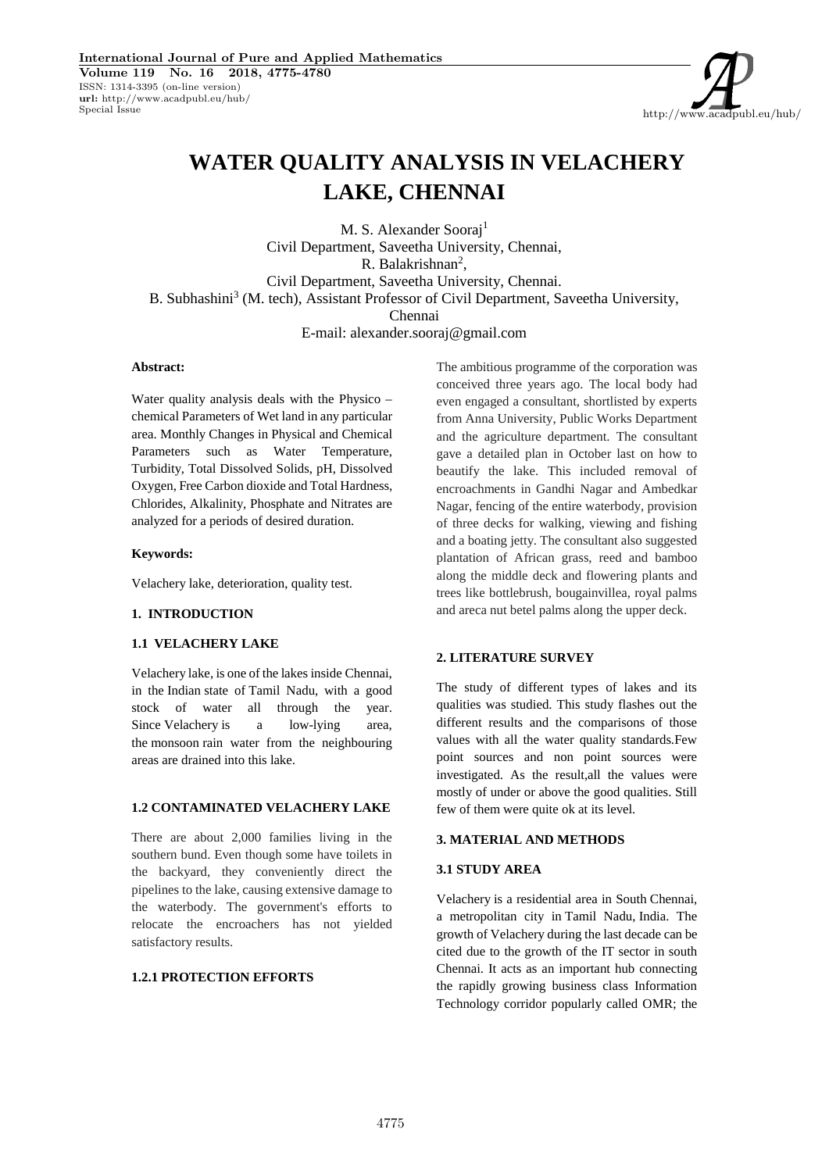http://www.acadpubl.eu/hub/

# **WATER QUALITY ANALYSIS IN VELACHERY LAKE, CHENNAI**

M. S. Alexander Sooraj<sup>1</sup> Civil Department, Saveetha University, Chennai, R. Balakrishnan<sup>2</sup>, Civil Department, Saveetha University, Chennai. B. Subhashini<sup>3</sup> (M. tech), Assistant Professor of Civil Department, Saveetha University, Chennai E-mail: alexander.sooraj@gmail.com

## **Abstract:**

Water quality analysis deals with the Physico – chemical Parameters of Wet land in any particular area. Monthly Changes in Physical and Chemical Parameters such as Water Temperature, Turbidity, Total Dissolved Solids, pH, Dissolved Oxygen, Free Carbon dioxide and Total Hardness, Chlorides, Alkalinity, Phosphate and Nitrates are analyzed for a periods of desired duration.

## **Keywords:**

Velachery lake, deterioration, quality test.

## **1. INTRODUCTION**

#### **1.1 VELACHERY LAKE**

Velachery lake, is one of the lakes inside Chennai, in the Indian state of Tamil Nadu, with a good stock of water all through the year. Since Velachery is a low-lying area, the monsoon rain water from the neighbouring areas are drained into this lake.

#### **1.2 CONTAMINATED VELACHERY LAKE**

There are about 2,000 families living in the southern bund. Even though some have toilets in the backyard, they conveniently direct the pipelines to the lake, causing extensive damage to the waterbody. The government's efforts to relocate the encroachers has not yielded satisfactory results.

## **1.2.1 PROTECTION EFFORTS**

The ambitious programme of the corporation was conceived three years ago. The local body had even engaged a consultant, shortlisted by experts from Anna University, Public Works Department and the agriculture department. The consultant gave a detailed plan in October last on how to beautify the lake. This included removal of encroachments in Gandhi Nagar and Ambedkar Nagar, fencing of the entire waterbody, provision of three decks for walking, viewing and fishing and a boating jetty. The consultant also suggested plantation of African grass, reed and bamboo along the middle deck and flowering plants and trees like bottlebrush, bougainvillea, royal palms and areca nut betel palms along the upper deck.

## **2. LITERATURE SURVEY**

The study of different types of lakes and its qualities was studied. This study flashes out the different results and the comparisons of those values with all the water quality standards.Few point sources and non point sources were investigated. As the result,all the values were mostly of under or above the good qualities. Still few of them were quite ok at its level.

#### **3. MATERIAL AND METHODS**

#### **3.1 STUDY AREA**

Velachery is a residential area in South Chennai, a metropolitan city in Tamil Nadu, India. The growth of Velachery during the last decade can be cited due to the growth of the IT sector in south Chennai. It acts as an important hub connecting the rapidly growing business class Information Technology corridor popularly called OMR; the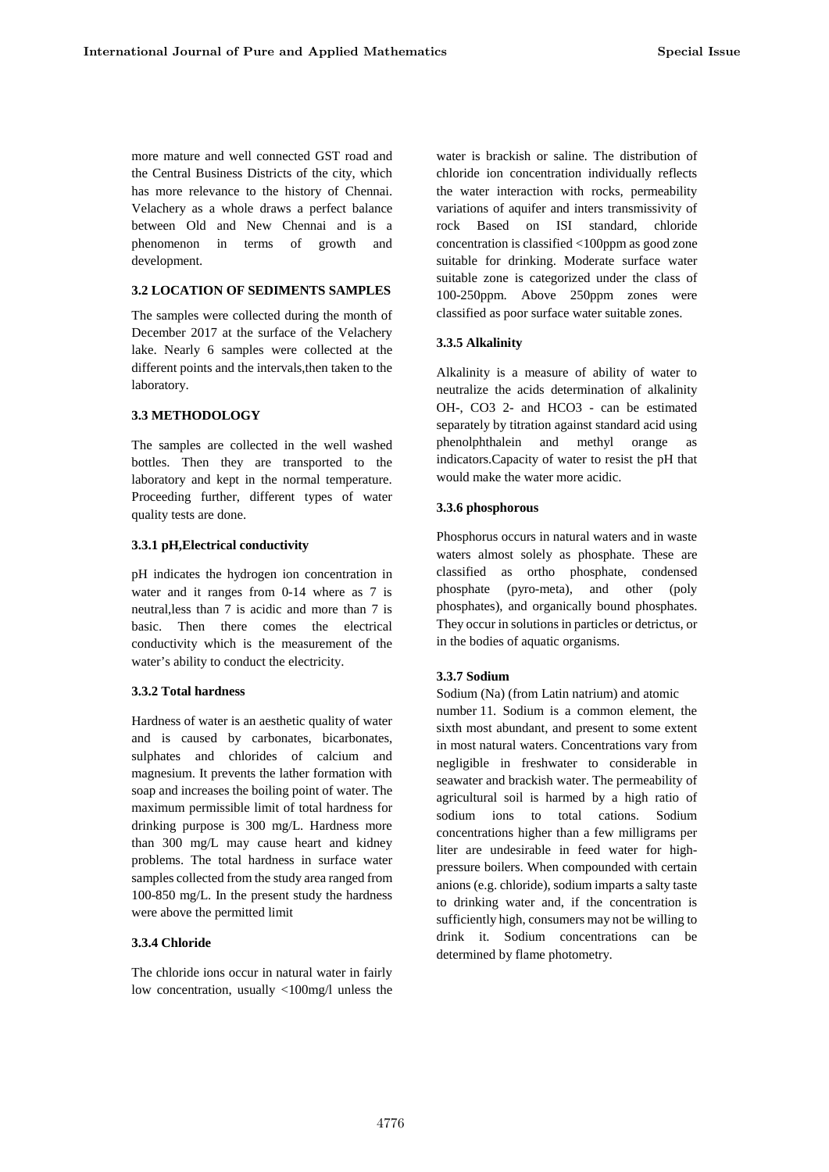more mature and well connected GST road and the Central Business Districts of the city, which has more relevance to the history of Chennai. Velachery as a whole draws a perfect balance between Old and New Chennai and is a phenomenon in terms of growth and development.

## **3.2 LOCATION OF SEDIMENTS SAMPLES**

The samples were collected during the month of December 2017 at the surface of the Velachery lake. Nearly 6 samples were collected at the different points and the intervals,then taken to the laboratory.

## **3.3 METHODOLOGY**

The samples are collected in the well washed bottles. Then they are transported to the laboratory and kept in the normal temperature. Proceeding further, different types of water quality tests are done.

## **3.3.1 pH,Electrical conductivity**

pH indicates the hydrogen ion concentration in water and it ranges from 0-14 where as 7 is neutral,less than 7 is acidic and more than 7 is basic. Then there comes the electrical conductivity which is the measurement of the water's ability to conduct the electricity.

#### **3.3.2 Total hardness**

Hardness of water is an aesthetic quality of water and is caused by carbonates, bicarbonates, sulphates and chlorides of calcium and magnesium. It prevents the lather formation with soap and increases the boiling point of water. The maximum permissible limit of total hardness for drinking purpose is 300 mg/L. Hardness more than 300 mg/L may cause heart and kidney problems. The total hardness in surface water samples collected from the study area ranged from 100-850 mg/L. In the present study the hardness were above the permitted limit

## **3.3.4 Chloride**

The chloride ions occur in natural water in fairly low concentration, usually <100mg/l unless the water is brackish or saline. The distribution of chloride ion concentration individually reflects the water interaction with rocks, permeability variations of aquifer and inters transmissivity of Based on ISI standard, chloride concentration is classified <100ppm as good zone suitable for drinking. Moderate surface water suitable zone is categorized under the class of 100-250ppm. Above 250ppm zones were classified as poor surface water suitable zones.

## **3.3.5 Alkalinity**

Alkalinity is a measure of ability of water to neutralize the acids determination of alkalinity OH-, CO3 2- and HCO3 - can be estimated separately by titration against standard acid using and methyl orange as indicators.Capacity of water to resist the pH that would make the water more acidic.

## **3.3.6 phosphorous**

Phosphorus occurs in natural waters and in waste waters almost solely as phosphate. These are classified as ortho phosphate, condensed phosphate (pyro-meta), and other (poly phosphates), and organically bound phosphates. They occur in solutions in particles or detrictus, or in the bodies of aquatic organisms.

## **3.3.7 Sodium**

Sodium (Na) (from Latin natrium) and atomic number 11. Sodium is a common element, the sixth most abundant, and present to some extent in most natural waters. Concentrations vary from negligible in freshwater to considerable in seawater and brackish water. The permeability of agricultural soil is harmed by a high ratio of sodium ions to total cations. Sodium concentrations higher than a few milligrams per liter are undesirable in feed water for high pressure boilers. When compounded with certain anions (e.g. chloride), sodium imparts a salty taste to drinking water and, if the concentration is sufficiently high, consumers may not be willing to drink it. Sodium concentrations can be determined by flame photometry.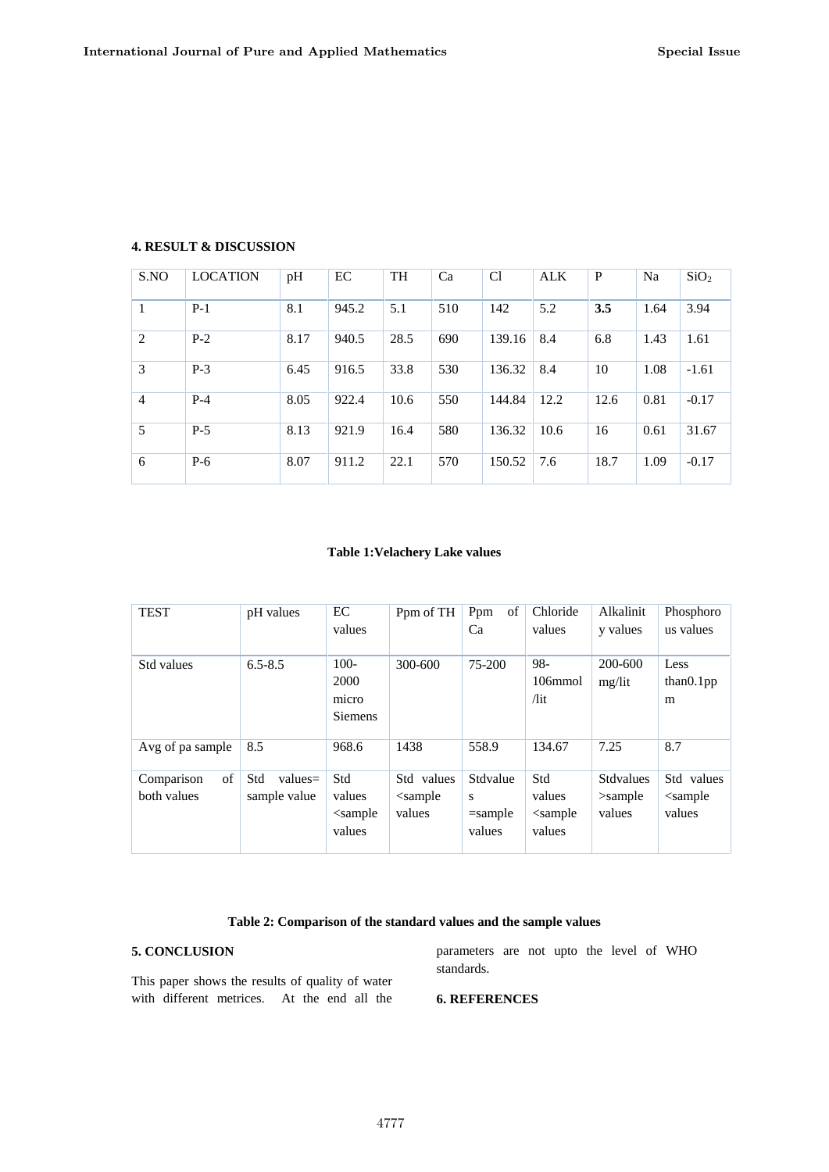| S.NO           | <b>LOCATION</b> | pH   | EC    | <b>TH</b> | Ca  | C <sub>1</sub> | <b>ALK</b> | P    | Na   | SiO <sub>2</sub> |
|----------------|-----------------|------|-------|-----------|-----|----------------|------------|------|------|------------------|
| 1              | $P-1$           | 8.1  | 945.2 | 5.1       | 510 | 142            | 5.2        | 3.5  | 1.64 | 3.94             |
| 2              | $P-2$           | 8.17 | 940.5 | 28.5      | 690 | 139.16         | 8.4        | 6.8  | 1.43 | 1.61             |
| 3              | $P-3$           | 6.45 | 916.5 | 33.8      | 530 | 136.32         | 8.4        | 10   | 1.08 | $-1.61$          |
| $\overline{4}$ | $P-4$           | 8.05 | 922.4 | 10.6      | 550 | 144.84         | 12.2       | 12.6 | 0.81 | $-0.17$          |
| 5              | $P-5$           | 8.13 | 921.9 | 16.4      | 580 | 136.32         | 10.6       | 16   | 0.61 | 31.67            |
| 6              | $P-6$           | 8.07 | 911.2 | 22.1      | 570 | 150.52         | 7.6        | 18.7 | 1.09 | $-0.17$          |

# **4. RESULT & DISCUSSION**

# **Table 1:Velachery Lake values**

| <b>TEST</b>                     | pH values                        | EC<br>values                               | Ppm of TH                             | Ppm<br>of<br>Ca                       | Chloride<br>values                       | Alkalinit<br>y values                    | Phosphoro<br>us values                |
|---------------------------------|----------------------------------|--------------------------------------------|---------------------------------------|---------------------------------------|------------------------------------------|------------------------------------------|---------------------------------------|
| Std values                      | $6.5 - 8.5$                      | $100 -$<br>2000<br>micro<br><b>Siemens</b> | 300-600                               | 75-200                                | 98-<br>106mmol<br>/lit                   | 200-600<br>mg/lit                        | Less<br>than 0.1pp<br>m               |
| Avg of pa sample                | 8.5                              | 968.6                                      | 1438                                  | 558.9                                 | 134.67                                   | 7.25                                     | 8.7                                   |
| of<br>Comparison<br>both values | Std<br>$values=$<br>sample value | Std<br>values<br>$\leq$ sample<br>values   | Std values<br>$\leq$ sample<br>values | Stdvalue<br>s<br>$=$ sample<br>values | Std<br>values<br>$\leq$ sample<br>values | <b>Stdvalues</b><br>$>$ sample<br>values | Std values<br>$\leq$ sample<br>values |

# **Table 2: Comparison of the standard values and the sample values**

## **5. CONCLUSION**

This paper shows the results of quality of water with different metrices. At the end all the parameters are not upto the level of WHO standards.

# **6. REFERENCES**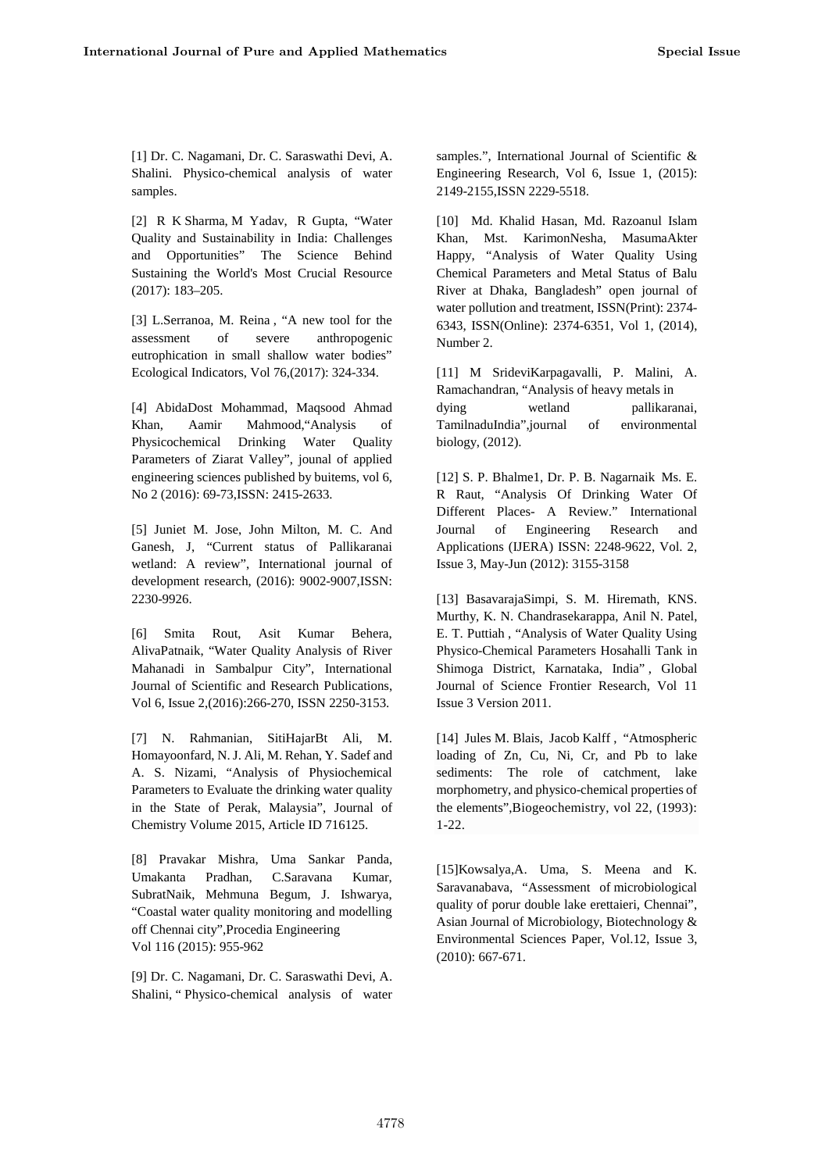[1] Dr. C. Nagamani, Dr. C. Saraswathi Devi, A. Shalini. Physico-chemical analysis of water samples.

[2] R K Sharma, M Yadav, R Gupta, "Water Quality and Sustainability in India: Challenges and Opportunities" The Science Behind Sustaining the World's Most Crucial Resource (2017): 183–205.

[3] L.Serranoa, M. Reina , "A new tool for the assessment of severe anthropogenic eutrophication in small shallow water bodies" Ecological Indicators, Vol 76,(2017): 324-334.

[4] AbidaDost Mohammad, Maqsood Ahmad Khan, Aamir Mahmood,"Analysis of Physicochemical Drinking Water Quality Parameters of Ziarat Valley", jounal of applied engineering sciences published by buitems, vol 6, No 2 (2016): 69-73,ISSN: 2415-2633.

[5] Juniet M. Jose, John Milton, M. C. And Ganesh, J, "Current status of Pallikaranai wetland: A review", International journal of development research, (2016): 9002-9007,ISSN: 2230-9926.

[6] Smita Rout, Asit Kumar Behera, AlivaPatnaik, "Water Quality Analysis of River Mahanadi in Sambalpur City", International Journal of Scientific and Research Publications, Vol 6, Issue 2,(2016):266-270, ISSN 2250-3153.

[7] N. Rahmanian, SitiHajarBt Ali, M. Homayoonfard, N. J. Ali, M. Rehan, Y. Sadef and A. S. Nizami, "Analysis of Physiochemical Parameters to Evaluate the drinking water quality in the State of Perak, Malaysia", Journal of Chemistry Volume 2015, Article ID 716125.

[8] Pravakar Mishra, Uma Sankar Panda, Umakanta Pradhan, C.Saravana Kumar, SubratNaik, Mehmuna Begum, J. Ishwarya, "Coastal water quality monitoring and modelling off Chennai city",Procedia Engineering Vol 116 (2015): 955-962

[9] Dr. C. Nagamani, Dr. C. Saraswathi Devi, A. Shalini, " Physico-chemical analysis of water samples.", International Journal of Scientific & Engineering Research, Vol 6, Issue 1, (2015): 2149-2155,ISSN 2229-5518.

[10] Md. Khalid Hasan, Md. Razoanul Islam Khan, Mst. KarimonNesha, MasumaAkter Happy, "Analysis of Water Quality Using Chemical Parameters and Metal Status of Balu River at Dhaka, Bangladesh" open journal of water pollution and treatment, ISSN(Print): 2374- 6343, ISSN(Online): 2374-6351, Vol 1, (2014), Number 2.

[11] M SrideviKarpagavalli, P. Malini, A. Ramachandran, "Analysis of heavy metals in wetland pallikaranai, TamilnaduIndia",journal of environmental biology, (2012).

[12] S. P. Bhalme1, Dr. P. B. Nagarnaik Ms. E. R Raut, "Analysis Of Drinking Water Of Different Places- A Review." International of Engineering Research and Applications (IJERA) ISSN: 2248-9622, Vol. 2, Issue 3, May-Jun (2012): 3155-3158

[13] BasavarajaSimpi, S. M. Hiremath, KNS. Murthy, K. N. Chandrasekarappa, Anil N. Patel, E. T. Puttiah , "Analysis of Water Quality Using Physico-Chemical Parameters Hosahalli Tank in Shimoga District, Karnataka, India" , Global Journal of Science Frontier Research, Vol 11 Issue 3 Version 2011.

[14] Jules M. Blais, Jacob Kalff , "Atmospheric loading of Zn, Cu, Ni, Cr, and Pb to lake sediments: The role of catchment, lake morphometry, and physico-chemical properties of the elements",Biogeochemistry, vol 22, (1993): 1-22.

[15]Kowsalya,A. Uma, S. Meena and K. Saravanabava, "Assessment of microbiological quality of porur double lake erettaieri, Chennai", Asian Journal of Microbiology, Biotechnology & Environmental Sciences Paper, Vol.12, Issue 3, (2010): 667-671.